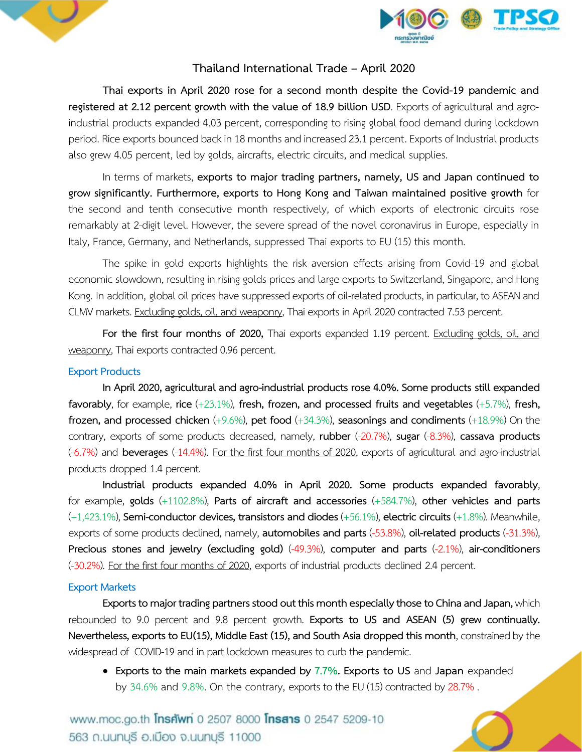



## **Thailand International Trade – April 2020**

**Thai exports in April 2020 rose for a second month despite the Covid-19 pandemic and registered at 2.12 percent growth with the value of 18.9 billion USD**. Exports of agricultural and agroindustrial products expanded 4.03 percent, corresponding to rising global food demand during lockdown period. Rice exports bounced back in 18 months and increased 23.1 percent. Exports of Industrial products also grew 4.05 percent, led by golds, aircrafts, electric circuits, and medical supplies.

In terms of markets, **exports to major trading partners, namely, US and Japan continued to grow significantly. Furthermore, exports to Hong Kong and Taiwan maintained positive growth** for the second and tenth consecutive month respectively, of which exports of electronic circuits rose remarkably at 2-digit level. However, the severe spread of the novel coronavirus in Europe, especially in Italy, France, Germany, and Netherlands, suppressed Thai exports to EU (15) this month.

The spike in gold exports highlights the risk aversion effects arising from Covid-19 and global economic slowdown, resulting in rising golds prices and large exports to Switzerland, Singapore, and Hong Kong. In addition, global oil prices have suppressed exports of oil-related products, in particular, to ASEAN and CLMV markets. Excluding golds, oil, and weaponry, Thai exports in April 2020 contracted 7.53 percent.

For the first four months of 2020, Thai exports expanded 1.19 percent. Excluding golds, oil, and weaponry, Thai exports contracted 0.96 percent.

## **Export Products**

**In April2020, agricultural and agro-industrial products rose 4.0%. Some products stillexpanded favorably**, for example, **rice** (+23.1%), **fresh, frozen, and processed fruits and vegetables** (+5.7%), **fresh, frozen, and processed chicken** (+9.6%), **pet food** (+34.3%), **seasonings and condiments** (+18.9%) On the contrary, exports of some products decreased, namely, **rubber** (-20.7%), **sugar** (-8.3%), **cassava products** (-6.7%) and **beverages** (-14.4%). For the first four months of 2020, exports of agricultural and agro-industrial products dropped 1.4 percent.

**Industrial products expanded 4.0% in April 2020. Some products expanded favorably**, for example, **golds** (+1102.8%), **Parts of aircraft and accessories** (+584.7%), **other vehicles and parts**  (+1,423.1%), **Semi-conductor devices, transistors and diodes** (+56.1%), **electric circuits** (+1.8%). Meanwhile, exports of some products declined, namely, **automobiles and parts** (-53.8%), **oil-related products** (-31.3%), **Precious stones and jewelry (excluding gold)** (-49.3%), **computer and parts** (-2.1%), **air-conditioners** (-30.2%). For the first four months of 2020, exports of industrial products declined 2.4 percent.

## **Export Markets**

**Exports to major trading partners stood out this month especially those to China and Japan,** which rebounded to 9.0 percent and 9.8 percent growth. **Exports to US and ASEAN (5) grew continually. Nevertheless, exports to EU(15), Middle East (15), and South Asia dropped this month**, constrained by the widespread of COVID-19 and in part lockdown measures to curb the pandemic.

 **Exports to the main markets expanded by 7.7%. Exports to US** and **Japan** expanded by 34.6% and 9.8%. On the contrary, exports to the EU (15) contracted by 28.7% .

www.moc.go.th **Insnwn** 0 2507 8000 **Insans** 0 2547 5209-10 563 ก.นนทบุรี อ.เมือง จ.นนทบุรี 11000